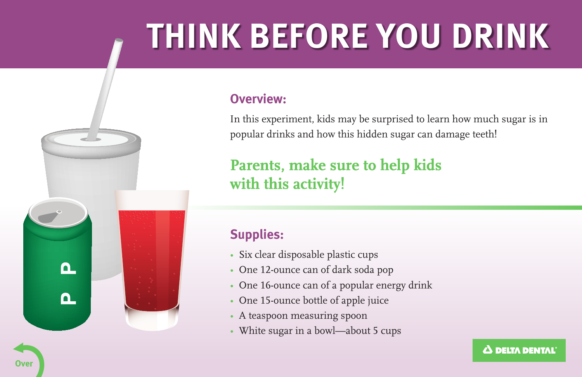# **THINK BEFORE YOU DRINK**

#### **Overview:**

In this experiment, kids may be surprised to learn how much sugar is in popular drinks and how this hidden sugar can damage teeth!

# **Parents, make sure to help kids** with this activity!

### **Supplies:**

- Six clear disposable plastic cups
- One 12-ounce can of dark soda pop
- One 16-ounce can of a popular energy drink
- One 15-ounce bottle of apple juice
- A teaspoon measuring spoon
- White sugar in a bowl—about 5 cups

 $\mathbf{a}$ 

∩.